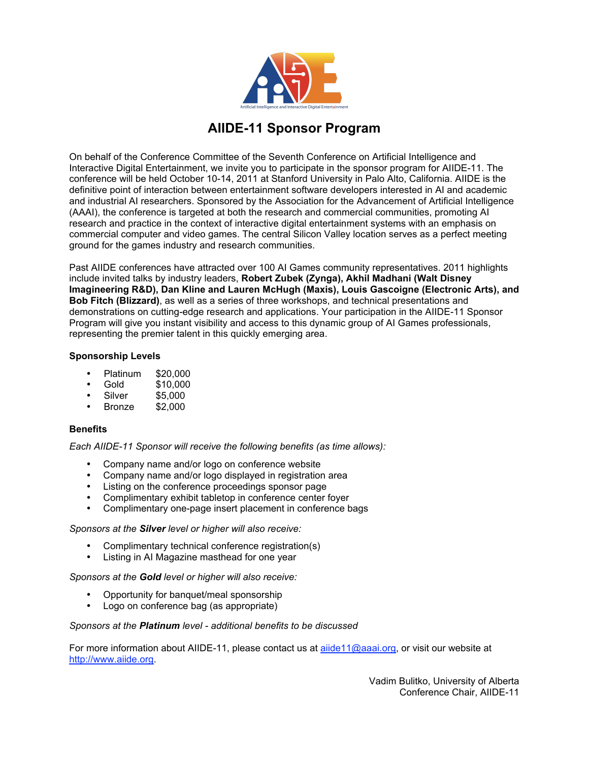

## **AIIDE-11 Sponsor Program**

On behalf of the Conference Committee of the Seventh Conference on Artificial Intelligence and Interactive Digital Entertainment, we invite you to participate in the sponsor program for AIIDE-11. The conference will be held October 10-14, 2011 at Stanford University in Palo Alto, California. AIIDE is the definitive point of interaction between entertainment software developers interested in AI and academic and industrial AI researchers. Sponsored by the Association for the Advancement of Artificial Intelligence (AAAI), the conference is targeted at both the research and commercial communities, promoting AI research and practice in the context of interactive digital entertainment systems with an emphasis on commercial computer and video games. The central Silicon Valley location serves as a perfect meeting ground for the games industry and research communities.

Past AIIDE conferences have attracted over 100 AI Games community representatives. 2011 highlights include invited talks by industry leaders, **Robert Zubek (Zynga), Akhil Madhani (Walt Disney Imagineering R&D), Dan Kline and Lauren McHugh (Maxis), Louis Gascoigne (Electronic Arts), and Bob Fitch (Blizzard)**, as well as a series of three workshops, and technical presentations and demonstrations on cutting-edge research and applications. Your participation in the AIIDE-11 Sponsor Program will give you instant visibility and access to this dynamic group of AI Games professionals, representing the premier talent in this quickly emerging area.

### **Sponsorship Levels**

- Platinum \$20,000
- Gold \$10,000
- $$5,000$ <br> $$2,000$
- **Bronze**

#### **Benefits**

*Each AIIDE-11 Sponsor will receive the following benefits (as time allows):*

- Company name and/or logo on conference website
- Company name and/or logo displayed in registration area
- Listing on the conference proceedings sponsor page
- Complimentary exhibit tabletop in conference center foyer
- Complimentary one-page insert placement in conference bags

#### *Sponsors at the Silver level or higher will also receive:*

- Complimentary technical conference registration(s)
- Listing in AI Magazine masthead for one year

*Sponsors at the Gold level or higher will also receive:*

- Opportunity for banquet/meal sponsorship
- Logo on conference bag (as appropriate)

#### *Sponsors at the Platinum level - additional benefits to be discussed*

For more information about AIIDE-11, please contact us at aiide11@aaai.org, or visit our website at http://www.aiide.org.

> Vadim Bulitko, University of Alberta Conference Chair, AIIDE-11